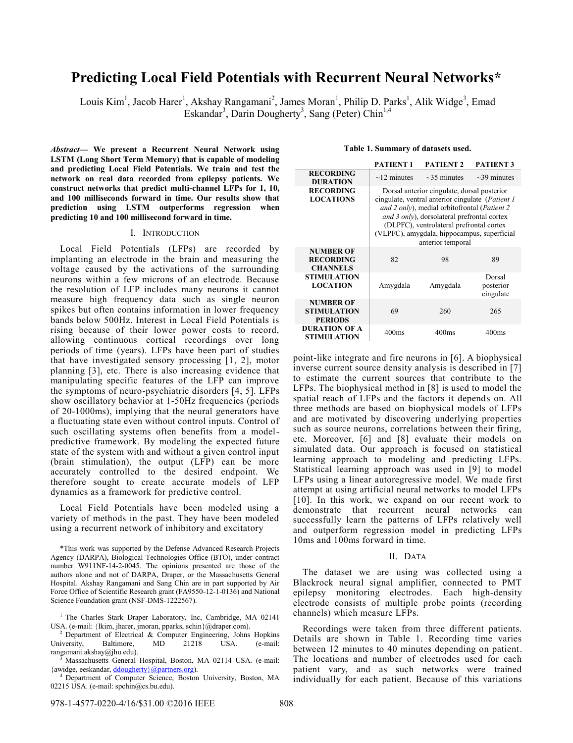# **Predicting Local Field Potentials with Recurrent Neural Networks\***

Louis Kim<sup>1</sup>, Jacob Harer<sup>1</sup>, Akshay Rangamani<sup>2</sup>, James Moran<sup>1</sup>, Philip D. Parks<sup>1</sup>, Alik Widge<sup>3</sup>, Emad Eskandar<sup>3</sup>, Darin Dougherty<sup>3</sup>, Sang (Peter) Chin<sup>1,4</sup>

*Abstract***— We present a Recurrent Neural Network using LSTM (Long Short Term Memory) that is capable of modeling and predicting Local Field Potentials. We train and test the network on real data recorded from epilepsy patients. We construct networks that predict multi-channel LFPs for 1, 10, and 100 milliseconds forward in time. Our results show that prediction using LSTM outperforms regression when predicting 10 and 100 millisecond forward in time.** 

## I. INTRODUCTION

Local Field Potentials (LFPs) are recorded by implanting an electrode in the brain and measuring the voltage caused by the activations of the surrounding neurons within a few microns of an electrode. Because the resolution of LFP includes many neurons it cannot measure high frequency data such as single neuron spikes but often contains information in lower frequency bands below 500Hz. Interest in Local Field Potentials is rising because of their lower power costs to record, allowing continuous cortical recordings over long periods of time (years). LFPs have been part of studies that have investigated sensory processing [1, 2], motor planning [3], etc. There is also increasing evidence that manipulating specific features of the LFP can improve the symptoms of neuro-psychiatric disorders [4, 5]. LFPs show oscillatory behavior at 1-50Hz frequencies (periods of 20-1000ms), implying that the neural generators have a fluctuating state even without control inputs. Control of such oscillating systems often benefits from a modelpredictive framework. By modeling the expected future state of the system with and without a given control input (brain stimulation), the output (LFP) can be more accurately controlled to the desired endpoint. We therefore sought to create accurate models of LFP dynamics as a framework for predictive control.

Local Field Potentials have been modeled using a variety of methods in the past. They have been modeled using a recurrent network of inhibitory and excitatory

\*This work was supported by the Defense Advanced Research Projects Agency (DARPA), Biological Technologies Office (BTO), under contract number W911NF-14-2-0045. The opinions presented are those of the authors alone and not of DARPA, Draper, or the Massachusetts General Hospital. Akshay Rangamani and Sang Chin are in part supported by Air Force Office of Scientific Research grant (FA9550-12-1-0136) and National Science Foundation grant (NSF-DMS-1222567).

<sup>4</sup> Department of Computer Science, Boston University, Boston, MA 02215 USA. (e-mail: spchin@cs.bu.edu).

**Table 1. Summary of datasets used.**

|                                                          | <b>PATIENT1</b>                                                                                                                                                                                                                                                                                                        | <b>PATIENT 2</b>  | <b>PATIENT 3</b>                 |
|----------------------------------------------------------|------------------------------------------------------------------------------------------------------------------------------------------------------------------------------------------------------------------------------------------------------------------------------------------------------------------------|-------------------|----------------------------------|
| <b>RECORDING</b><br><b>DURATION</b>                      | $\sim$ 12 minutes                                                                                                                                                                                                                                                                                                      | $\sim$ 35 minutes | $\sim$ 39 minutes                |
| <b>RECORDING</b><br><b>LOCATIONS</b>                     | Dorsal anterior cingulate, dorsal posterior<br>cingulate, ventral anterior cingulate ( <i>Patient 1</i><br>and 2 only), medial orbitofrontal (Patient 2<br>and 3 only), dorsolateral prefrontal cortex<br>(DLPFC), ventrolateral prefrontal cortex<br>(VLPFC), amygdala, hippocampus, superficial<br>anterior temporal |                   |                                  |
| <b>NUMBER OF</b><br><b>RECORDING</b><br><b>CHANNELS</b>  | 82                                                                                                                                                                                                                                                                                                                     | 98                | 89                               |
| <b>STIMULATION</b><br><b>LOCATION</b>                    | Amygdala                                                                                                                                                                                                                                                                                                               | Amygdala          | Dorsal<br>posterior<br>cingulate |
| <b>NUMBER OF</b><br><b>STIMULATION</b><br><b>PERIODS</b> | 69                                                                                                                                                                                                                                                                                                                     | 260               | 265                              |
| DURATION OF A<br>STIMULATION                             | 400ms                                                                                                                                                                                                                                                                                                                  | 400ms             | 400ms                            |

point-like integrate and fire neurons in [6]. A biophysical inverse current source density analysis is described in [7] to estimate the current sources that contribute to the LFPs. The biophysical method in [8] is used to model the spatial reach of LFPs and the factors it depends on. All three methods are based on biophysical models of LFPs and are motivated by discovering underlying properties such as source neurons, correlations between their firing, etc. Moreover, [6] and [8] evaluate their models on simulated data. Our approach is focused on statistical learning approach to modeling and predicting LFPs. Statistical learning approach was used in [9] to model LFPs using a linear autoregressive model. We made first attempt at using artificial neural networks to model LFPs [10]. In this work, we expand on our recent work to demonstrate that recurrent neural networks can successfully learn the patterns of LFPs relatively well and outperform regression model in predicting LFPs 10ms and 100ms forward in time.

#### II. DATA

The dataset we are using was collected using a Blackrock neural signal amplifier, connected to PMT epilepsy monitoring electrodes. Each high-density electrode consists of multiple probe points (recording channels) which measure LFPs.

Recordings were taken from three different patients. Details are shown in Table 1. Recording time varies between 12 minutes to 40 minutes depending on patient. The locations and number of electrodes used for each patient vary, and as such networks were trained individually for each patient. Because of this variations

<sup>&</sup>lt;sup>1</sup> The Charles Stark Draper Laboratory, Inc, Cambridge, MA 02141 USA. (e-mail: {lkim, jharer, jmoran, pparks, schin}@draper.com).

 $2$  Department of Electrical & Computer Engineering, Johns Hopkins University, Baltimore, MD 21218 USA. (e-mail: rangamani.akshay@jhu.edu).

<sup>3</sup>Massachusetts General Hospital, Boston, MA 02114 USA. (e-mail: {awidge, eeskandar, ddougherty}@partners.org).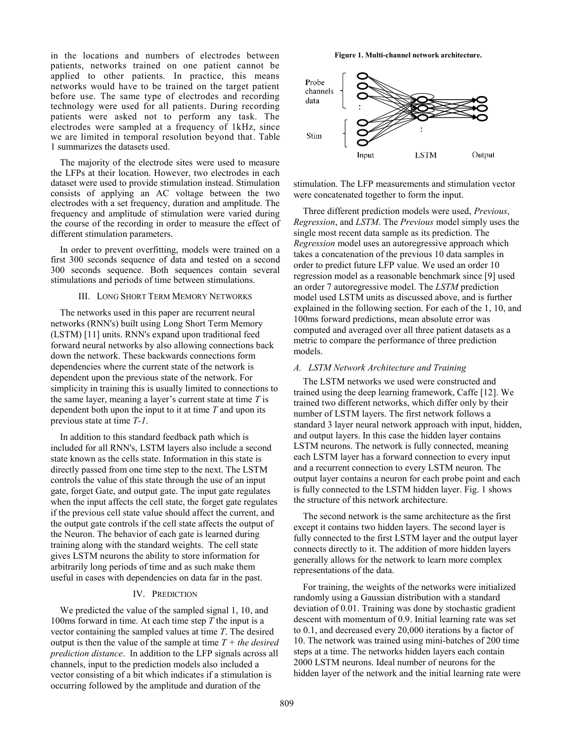in the locations and numbers of electrodes between patients, networks trained on one patient cannot be applied to other patients. In practice, this means networks would have to be trained on the target patient before use. The same type of electrodes and recording technology were used for all patients. During recording patients were asked not to perform any task. The electrodes were sampled at a frequency of 1kHz, since we are limited in temporal resolution beyond that. Table 1 summarizes the datasets used.

The majority of the electrode sites were used to measure the LFPs at their location. However, two electrodes in each dataset were used to provide stimulation instead. Stimulation consists of applying an AC voltage between the two electrodes with a set frequency, duration and amplitude. The frequency and amplitude of stimulation were varied during the course of the recording in order to measure the effect of different stimulation parameters.

In order to prevent overfitting, models were trained on a first 300 seconds sequence of data and tested on a second 300 seconds sequence. Both sequences contain several stimulations and periods of time between stimulations.

## III. LONG SHORT TERM MEMORY NETWORKS

The networks used in this paper are recurrent neural networks (RNN's) built using Long Short Term Memory (LSTM) [11] units. RNN's expand upon traditional feed forward neural networks by also allowing connections back down the network. These backwards connections form dependencies where the current state of the network is dependent upon the previous state of the network. For simplicity in training this is usually limited to connections to the same layer, meaning a layer's current state at time *T* is dependent both upon the input to it at time *T* and upon its previous state at time *T-1*.

In addition to this standard feedback path which is included for all RNN's, LSTM layers also include a second state known as the cells state. Information in this state is directly passed from one time step to the next. The LSTM controls the value of this state through the use of an input gate, forget Gate, and output gate. The input gate regulates when the input affects the cell state, the forget gate regulates if the previous cell state value should affect the current, and the output gate controls if the cell state affects the output of the Neuron. The behavior of each gate is learned during training along with the standard weights. The cell state gives LSTM neurons the ability to store information for arbitrarily long periods of time and as such make them useful in cases with dependencies on data far in the past.

# IV. PREDICTION

We predicted the value of the sampled signal 1, 10, and 100ms forward in time. At each time step *T* the input is a vector containing the sampled values at time *T*. The desired output is then the value of the sample at time *T + the desired prediction distance*. In addition to the LFP signals across all channels, input to the prediction models also included a vector consisting of a bit which indicates if a stimulation is occurring followed by the amplitude and duration of the

**Figure 1. Multi-channel network architecture.**



stimulation. The LFP measurements and stimulation vector were concatenated together to form the input.

Three different prediction models were used, *Previous*, *Regression*, and *LSTM*. The *Previous* model simply uses the single most recent data sample as its prediction. The *Regression* model uses an autoregressive approach which takes a concatenation of the previous 10 data samples in order to predict future LFP value. We used an order 10 regression model as a reasonable benchmark since [9] used an order 7 autoregressive model. The *LSTM* prediction model used LSTM units as discussed above, and is further explained in the following section. For each of the 1, 10, and 100ms forward predictions, mean absolute error was computed and averaged over all three patient datasets as a metric to compare the performance of three prediction models.

## *A. LSTM Network Architecture and Training*

The LSTM networks we used were constructed and trained using the deep learning framework, Caffe [12]. We trained two different networks, which differ only by their number of LSTM layers. The first network follows a standard 3 layer neural network approach with input, hidden, and output layers. In this case the hidden layer contains LSTM neurons. The network is fully connected, meaning each LSTM layer has a forward connection to every input and a recurrent connection to every LSTM neuron. The output layer contains a neuron for each probe point and each is fully connected to the LSTM hidden layer. Fig. 1 shows the structure of this network architecture.

The second network is the same architecture as the first except it contains two hidden layers. The second layer is fully connected to the first LSTM layer and the output layer connects directly to it. The addition of more hidden layers generally allows for the network to learn more complex representations of the data.

For training, the weights of the networks were initialized randomly using a Gaussian distribution with a standard deviation of 0.01. Training was done by stochastic gradient descent with momentum of 0.9. Initial learning rate was set to 0.1, and decreased every 20,000 iterations by a factor of 10. The network was trained using mini-batches of 200 time steps at a time. The networks hidden layers each contain 2000 LSTM neurons. Ideal number of neurons for the hidden layer of the network and the initial learning rate were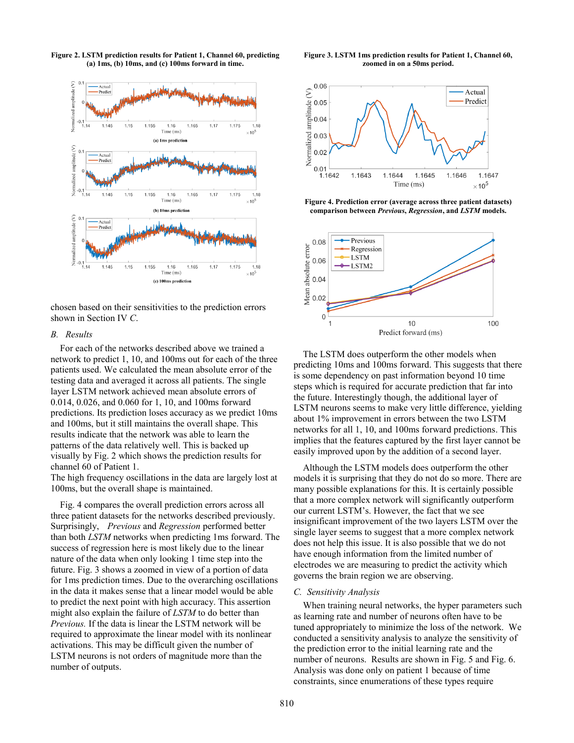

**Figure 2. LSTM prediction results for Patient 1, Channel 60, predicting (a) 1ms, (b) 10ms, and (c) 100ms forward in time.**

chosen based on their sensitivities to the prediction errors shown in Section IV *C*.

# *B. Results*

For each of the networks described above we trained a network to predict 1, 10, and 100ms out for each of the three patients used. We calculated the mean absolute error of the testing data and averaged it across all patients. The single layer LSTM network achieved mean absolute errors of 0.014, 0.026, and 0.060 for 1, 10, and 100ms forward predictions. Its prediction loses accuracy as we predict 10ms and 100ms, but it still maintains the overall shape. This results indicate that the network was able to learn the patterns of the data relatively well. This is backed up visually by Fig. 2 which shows the prediction results for channel 60 of Patient 1.

The high frequency oscillations in the data are largely lost at 100ms, but the overall shape is maintained.

Fig. 4 compares the overall prediction errors across all three patient datasets for the networks described previously. Surprisingly, *Previous* and *Regression* performed better than both *LSTM* networks when predicting 1ms forward. The success of regression here is most likely due to the linear nature of the data when only looking 1 time step into the future. Fig. 3 shows a zoomed in view of a portion of data for 1ms prediction times. Due to the overarching oscillations in the data it makes sense that a linear model would be able to predict the next point with high accuracy. This assertion might also explain the failure of *LSTM* to do better than *Previous.* If the data is linear the LSTM network will be required to approximate the linear model with its nonlinear activations. This may be difficult given the number of LSTM neurons is not orders of magnitude more than the number of outputs.

**Figure 3. LSTM 1ms prediction results for Patient 1, Channel 60, zoomed in on a 50ms period.**



**Figure 4. Prediction error (average across three patient datasets) comparison between** *Previous***,** *Regression***, and** *LSTM* **models.**



The LSTM does outperform the other models when predicting 10ms and 100ms forward. This suggests that there is some dependency on past information beyond 10 time steps which is required for accurate prediction that far into the future. Interestingly though, the additional layer of LSTM neurons seems to make very little difference, yielding about 1% improvement in errors between the two LSTM networks for all 1, 10, and 100ms forward predictions. This implies that the features captured by the first layer cannot be easily improved upon by the addition of a second layer.

Although the LSTM models does outperform the other models it is surprising that they do not do so more. There are many possible explanations for this. It is certainly possible that a more complex network will significantly outperform our current LSTM's. However, the fact that we see insignificant improvement of the two layers LSTM over the single layer seems to suggest that a more complex network does not help this issue. It is also possible that we do not have enough information from the limited number of electrodes we are measuring to predict the activity which governs the brain region we are observing.

#### *C. Sensitivity Analysis*

When training neural networks, the hyper parameters such as learning rate and number of neurons often have to be tuned appropriately to minimize the loss of the network. We conducted a sensitivity analysis to analyze the sensitivity of the prediction error to the initial learning rate and the number of neurons. Results are shown in Fig. 5 and Fig. 6. Analysis was done only on patient 1 because of time constraints, since enumerations of these types require